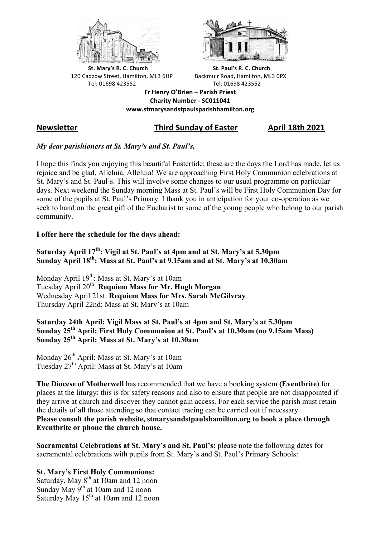



**St.** Mary's R. C. Church St. Paul's R. C. Church 120 Cadzow Street, Hamilton, ML3 6HP Backmuir Road, Hamilton, ML3 0PX Tel: 01698 423552 Tel: 01698 423552

**Fr Henry O'Brien – Parish Priest Charity Number - SC011041 www.stmarysandstpaulsparishhamilton.org**

# **Newsletter Third Sunday of Easter April 18th 2021**

### *My dear parishioners at St. Mary's and St. Paul's,*

I hope this finds you enjoying this beautiful Eastertide; these are the days the Lord has made, let us rejoice and be glad, Alleluia, Alleluia! We are approaching First Holy Communion celebrations at St. Mary's and St. Paul's. This will involve some changes to our usual programme on particular days. Next weekend the Sunday morning Mass at St. Paul's will be First Holy Communion Day for some of the pupils at St. Paul's Primary. I thank you in anticipation for your co-operation as we seek to hand on the great gift of the Eucharist to some of the young people who belong to our parish community.

#### **I offer here the schedule for the days ahead:**

**Saturday April 17th: Vigil at St. Paul's at 4pm and at St. Mary's at 5.30pm Sunday April 18th: Mass at St. Paul's at 9.15am and at St. Mary's at 10.30am**

Monday April 19<sup>th</sup>: Mass at St. Mary's at 10am Tuesday April 20th: **Requiem Mass for Mr. Hugh Morgan** Wednesday April 21st: **Requiem Mass for Mrs. Sarah McGilvray** Thursday April 22nd: Mass at St. Mary's at 10am

#### **Saturday 24th April: Vigil Mass at St. Paul's at 4pm and St. Mary's at 5.30pm Sunday 25th April: First Holy Communion at St. Paul's at 10.30am (no 9.15am Mass) Sunday 25th April: Mass at St. Mary's at 10.30am**

Monday 26<sup>th</sup> April: Mass at St. Mary's at 10am Tuesday 27<sup>th</sup> April: Mass at St. Mary's at 10am

**The Diocese of Motherwell** has recommended that we have a booking system **(Eventbrite)** for places at the liturgy; this is for safety reasons and also to ensure that people are not disappointed if they arrive at church and discover they cannot gain access. For each service the parish must retain the details of all those attending so that contact tracing can be carried out if necessary.

**Please consult the parish website, stmarysandstpaulshamilton.org to book a place through Eventbrite or phone the church house.**

**Sacramental Celebrations at St. Mary's and St. Paul's:** please note the following dates for sacramental celebrations with pupils from St. Mary's and St. Paul's Primary Schools:

## **St. Mary's First Holy Communions:**

Saturday, May  $8<sup>th</sup>$  at 10am and 12 noon Sunday May 9<sup>th</sup> at 10am and 12 noon Saturday May 15<sup>th</sup> at 10am and 12 noon